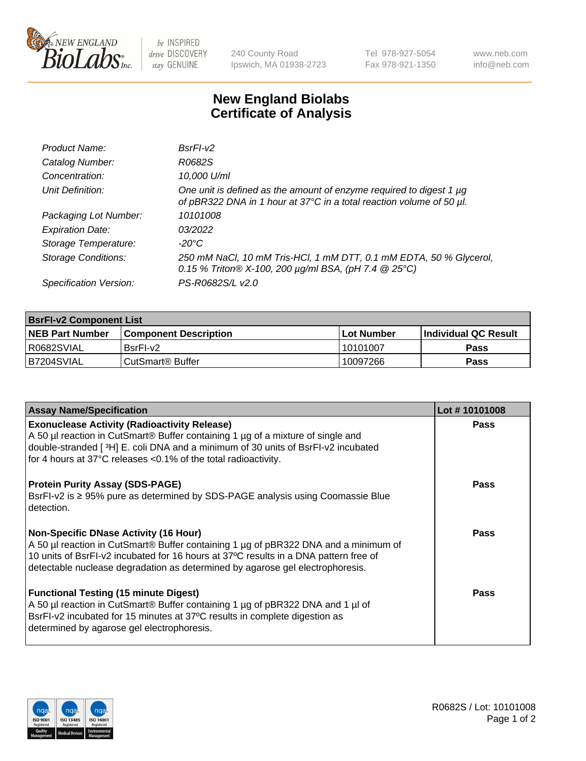

 $be$  INSPIRED drive DISCOVERY stay GENUINE

240 County Road Ipswich, MA 01938-2723 Tel 978-927-5054 Fax 978-921-1350 www.neb.com info@neb.com

## **New England Biolabs Certificate of Analysis**

| Product Name:              | $BsrFI-V2$                                                                                                                                  |
|----------------------------|---------------------------------------------------------------------------------------------------------------------------------------------|
| Catalog Number:            | R0682S                                                                                                                                      |
| Concentration:             | 10,000 U/ml                                                                                                                                 |
| Unit Definition:           | One unit is defined as the amount of enzyme required to digest 1 µg<br>of pBR322 DNA in 1 hour at 37°C in a total reaction volume of 50 µl. |
| Packaging Lot Number:      | 10101008                                                                                                                                    |
| <b>Expiration Date:</b>    | 03/2022                                                                                                                                     |
| Storage Temperature:       | $-20^{\circ}$ C                                                                                                                             |
| <b>Storage Conditions:</b> | 250 mM NaCl, 10 mM Tris-HCl, 1 mM DTT, 0.1 mM EDTA, 50 % Glycerol,<br>0.15 % Triton® X-100, 200 µg/ml BSA, (pH 7.4 @ 25°C)                  |
| Specification Version:     | PS-R0682S/L v2.0                                                                                                                            |

| <b>BsrFI-v2 Component List</b> |                              |                   |                             |  |  |
|--------------------------------|------------------------------|-------------------|-----------------------------|--|--|
| <b>NEB Part Number</b>         | <b>Component Description</b> | <b>Lot Number</b> | <b>Individual QC Result</b> |  |  |
| R0682SVIAL                     | BsrFI-v2                     | 10101007          | Pass                        |  |  |
| IB7204SVIAL                    | CutSmart® Buffer             | 10097266          | Pass                        |  |  |

| <b>Assay Name/Specification</b>                                                                                                                                                                                                                                                                       | Lot #10101008 |
|-------------------------------------------------------------------------------------------------------------------------------------------------------------------------------------------------------------------------------------------------------------------------------------------------------|---------------|
| <b>Exonuclease Activity (Radioactivity Release)</b><br>A 50 µl reaction in CutSmart® Buffer containing 1 µg of a mixture of single and<br>double-stranded [3H] E. coli DNA and a minimum of 30 units of BsrFI-v2 incubated<br>for 4 hours at 37°C releases <0.1% of the total radioactivity.          | <b>Pass</b>   |
| <b>Protein Purity Assay (SDS-PAGE)</b><br>BsrFI-v2 is ≥ 95% pure as determined by SDS-PAGE analysis using Coomassie Blue<br>I detection.                                                                                                                                                              | <b>Pass</b>   |
| Non-Specific DNase Activity (16 Hour)<br>A 50 µl reaction in CutSmart® Buffer containing 1 µg of pBR322 DNA and a minimum of<br>10 units of BsrFI-v2 incubated for 16 hours at 37°C results in a DNA pattern free of<br>detectable nuclease degradation as determined by agarose gel electrophoresis. | <b>Pass</b>   |
| <b>Functional Testing (15 minute Digest)</b><br>A 50 µl reaction in CutSmart® Buffer containing 1 µg of pBR322 DNA and 1 µl of<br>BsrFI-v2 incubated for 15 minutes at 37°C results in complete digestion as<br>determined by agarose gel electrophoresis.                                            | <b>Pass</b>   |